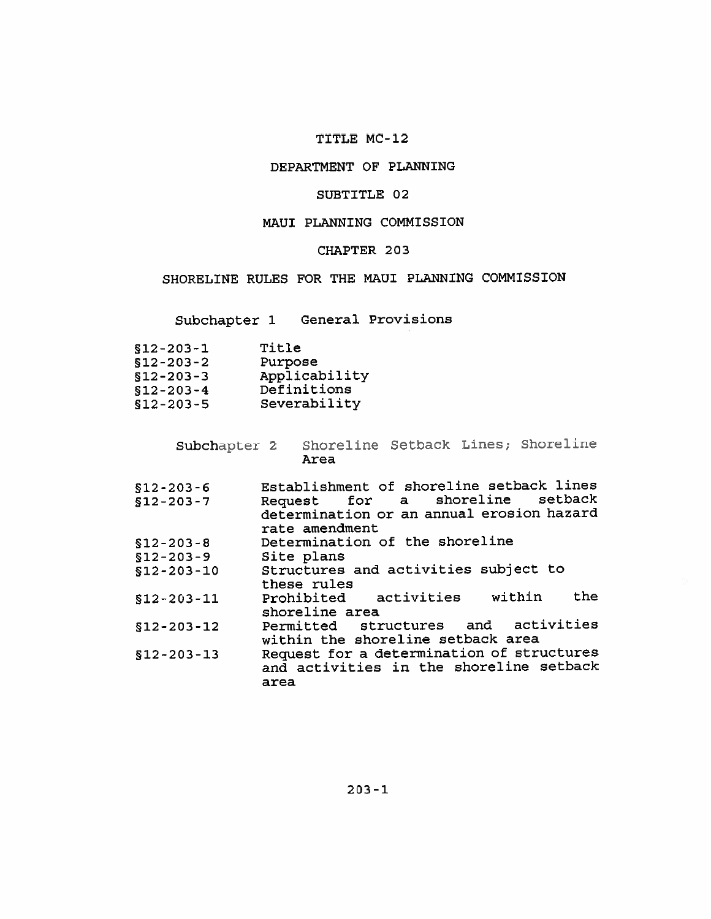## TITLE MC-12

## DEPARTMENT OF PLANNING

## SUBTITLE 02

### MAUI PLANNING COMMISSION

## CHAPTER 203

SHORELINE RULES FOR THE MAUI PLANNING COMMISSION

Subchapter 1 General Provisions

| $$12 - 203 - 1$ | Title         |
|-----------------|---------------|
| $$12 - 203 - 2$ | Purpose       |
| $$12 - 203 - 3$ | Applicability |
| $$12-203-4$     | Definitions   |
| $$12 - 203 - 5$ | Severability  |

Subchapter 2 Shoreline Setback Lines; Shoreline Area

| $$12 - 203 - 6$  | Establishment of shoreline setback lines  |
|------------------|-------------------------------------------|
| $$12 - 203 - 7$  | Request for a shoreline setback           |
|                  | determination or an annual erosion hazard |
|                  | rate amendment                            |
| $$12 - 203 - 8$  | Determination of the shoreline            |
| $$12 - 203 - 9$  | Site plans                                |
| $$12 - 203 - 10$ | Structures and activities subject to      |
|                  | these rules                               |
| $$12 - 203 - 11$ | the<br>Prohibited activities within       |
|                  | shoreline area                            |
| $$12 - 203 - 12$ | Permitted structures and activities       |
|                  | within the shoreline setback area         |
| $$12 - 203 - 13$ | Request for a determination of structures |
|                  | and activities in the shoreline setback   |
|                  | area                                      |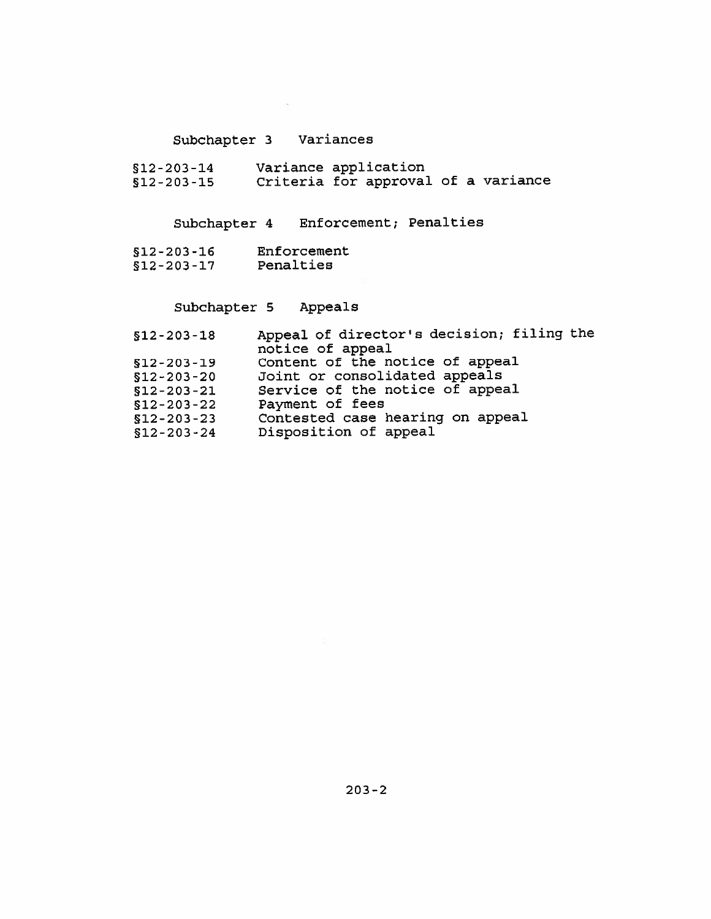# Subchapter 3 Variances

S12-203-14 Variance application<br>S12-203-15 Criteria for approval of a variance

Subchapter 4 Enforcement; Penalties

- $$12-203-16$  Enforcement<br> $$12-203-17$  Penalties
- 

# Subchapter 5 Appeals

| $$12 - 203 - 18$ | Appeal of director's decision; filing the |
|------------------|-------------------------------------------|
|                  | notice of appeal                          |
| $$12 - 203 - 19$ | Content of the notice of appeal           |
| $$12 - 203 - 20$ | Joint or consolidated appeals             |
| $$12 - 203 - 21$ | Service of the notice of appeal           |
| $$12 - 203 - 22$ | Payment of fees                           |
| $$12 - 203 - 23$ | Contested case hearing on appeal          |
| $$12 - 203 - 24$ | Disposition of appeal                     |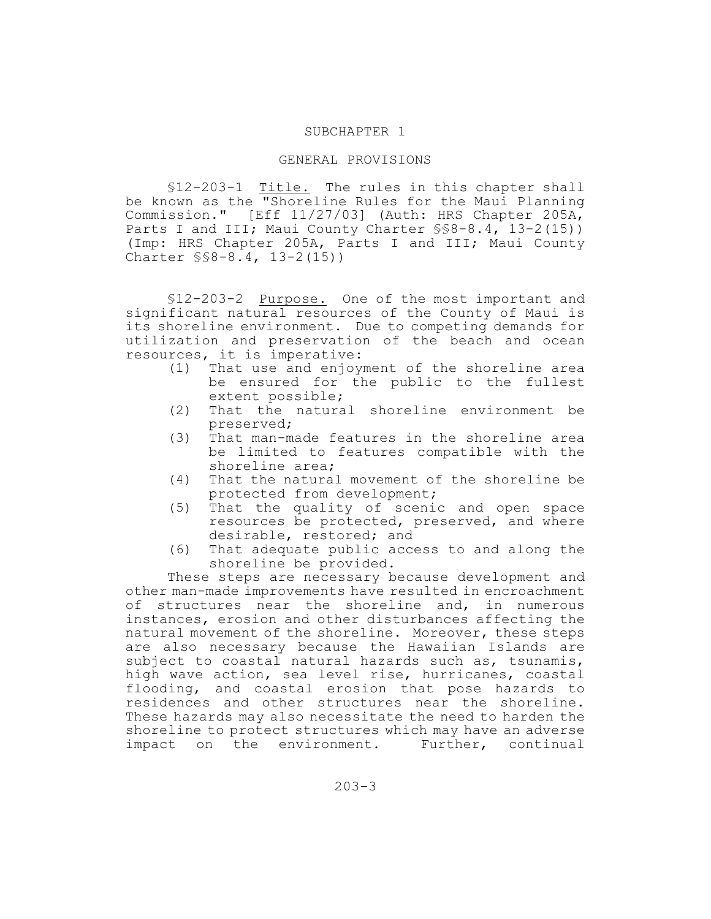#### SUBCHAPTER 1

#### GENERAL PROVISIONS

§12-203-1 Title. The rules in this chapter shall be known as the "Shoreline Rules for the Maui Planning Commission." [Eff 11/27/03] (Auth: HRS Chapter 205A, Parts I and III; Maui County Charter  $\S$ §8-8.4, 13-2(15)) (Imp: HRS Chapter 205A, Parts I and III; Maui County Charter §§8-8.4, 13-2(15))

§12-203-2 Purpose. One of the most important and significant natural resources of the County of Maui is its shoreline environment. Due to competing demands for utilization and preservation of the beach and ocean resources, it is imperative:

- (1) That use and enjoyment of the shoreline area be ensured for the public to the fullest extent possible;
- (2) That the natural shoreline environment be preserved;
- (3) That man-made features in the shoreline area be limited to features compatible with the shoreline area;
- (4) That the natural movement of the shoreline be protected from development;
- (5) That the quality of scenic and open space resources be protected, preserved, and where desirable, restored; and
- (6) That adequate public access to and along the shoreline be provided.

These steps are necessary because development and other man-made improvements have resulted in encroachment of structures near the shoreline and, in numerous instances, erosion and other disturbances affecting the natural movement of the shoreline. Moreover, these steps are also necessary because the Hawaiian Islands are subject to coastal natural hazards such as, tsunamis, high wave action, sea level rise, hurricanes, coastal flooding, and coastal erosion that pose hazards to residences and other structures near the shoreline. These hazards may also necessitate the need to harden the shoreline to protect structures which may have an adverse impact on the environment. Further, continual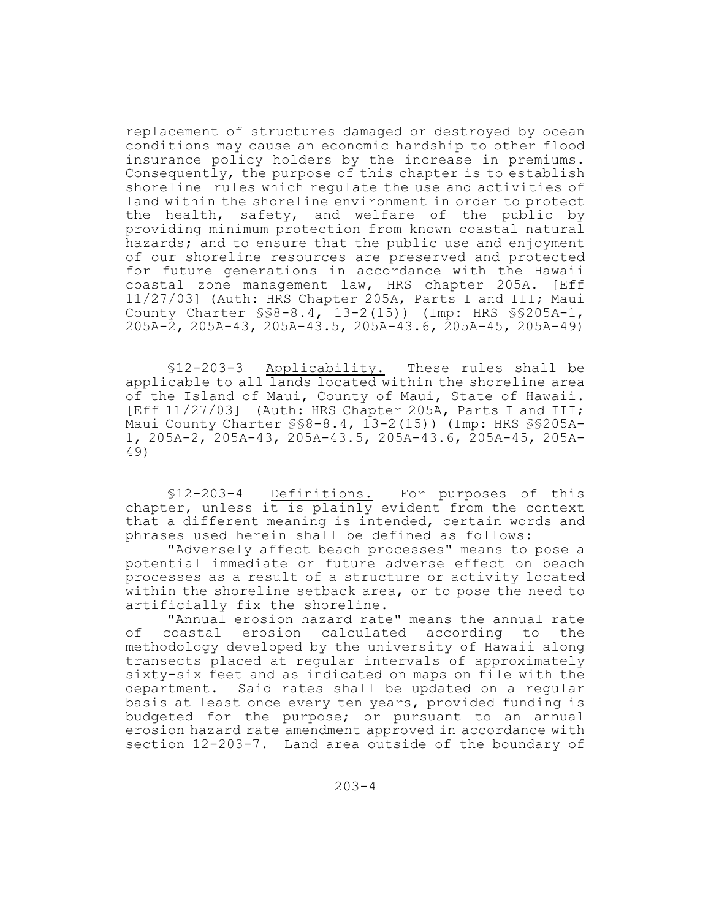replacement of structures damaged or destroyed by ocean conditions may cause an economic hardship to other flood insurance policy holders by the increase in premiums. Consequently, the purpose of this chapter is to establish shoreline rules which regulate the use and activities of land within the shoreline environment in order to protect the health, safety, and welfare of the public by providing minimum protection from known coastal natural hazards; and to ensure that the public use and enjoyment of our shoreline resources are preserved and protected for future generations in accordance with the Hawaii coastal zone management law, HRS chapter 205A. [Eff 11/27/03] (Auth: HRS Chapter 205A, Parts I and III; Maui County Charter §§8-8.4, 13-2(15)) (Imp: HRS §§205A-1, 205A-2, 205A-43, 205A-43.5, 205A-43.6, 205A-45, 205A-49)

§12-203-3 Applicability. These rules shall be applicable to all lands located within the shoreline area of the Island of Maui, County of Maui, State of Hawaii. [Eff 11/27/03] (Auth: HRS Chapter 205A, Parts I and III; Maui County Charter §§8-8.4, 13-2(15)) (Imp: HRS §§205A-1, 205A-2, 205A-43, 205A-43.5, 205A-43.6, 205A-45, 205A-49)

§12-203-4 Definitions. For purposes of this chapter, unless it is plainly evident from the context that a different meaning is intended, certain words and phrases used herein shall be defined as follows:

"Adversely affect beach processes" means to pose a potential immediate or future adverse effect on beach processes as a result of a structure or activity located within the shoreline setback area, or to pose the need to artificially fix the shoreline.

"Annual erosion hazard rate" means the annual rate of coastal erosion calculated according to the methodology developed by the university of Hawaii along transects placed at regular intervals of approximately sixty-six feet and as indicated on maps on file with the department. Said rates shall be updated on a regular basis at least once every ten years, provided funding is budgeted for the purpose; or pursuant to an annual erosion hazard rate amendment approved in accordance with section 12-203-7. Land area outside of the boundary of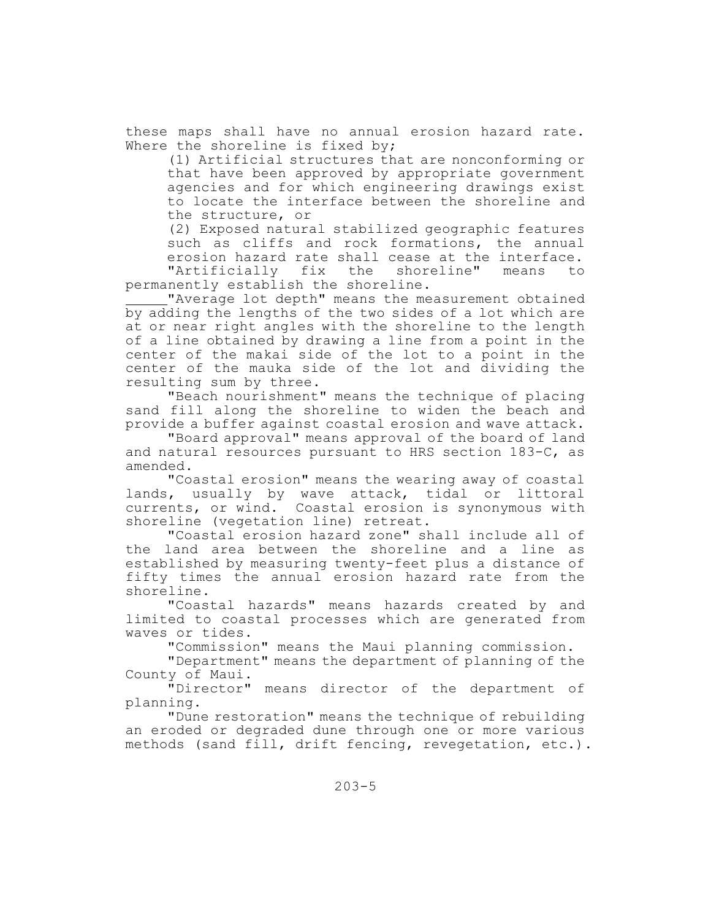these maps shall have no annual erosion hazard rate. Where the shoreline is fixed by;

(1) Artificial structures that are nonconforming or that have been approved by appropriate government agencies and for which engineering drawings exist to locate the interface between the shoreline and the structure, or

(2) Exposed natural stabilized geographic features such as cliffs and rock formations, the annual erosion hazard rate shall cease at the interface. "Artificially fix the shoreline" means to

permanently establish the shoreline.

"Average lot depth" means the measurement obtained by adding the lengths of the two sides of a lot which are at or near right angles with the shoreline to the length of a line obtained by drawing a line from a point in the center of the makai side of the lot to a point in the center of the mauka side of the lot and dividing the resulting sum by three.

"Beach nourishment" means the technique of placing sand fill along the shoreline to widen the beach and provide a buffer against coastal erosion and wave attack.

"Board approval" means approval of the board of land and natural resources pursuant to HRS section 183-C, as amended.

"Coastal erosion" means the wearing away of coastal lands, usually by wave attack, tidal or littoral currents, or wind. Coastal erosion is synonymous with shoreline (vegetation line) retreat.

"Coastal erosion hazard zone" shall include all of the land area between the shoreline and a line as established by measuring twenty-feet plus a distance of fifty times the annual erosion hazard rate from the shoreline.

"Coastal hazards" means hazards created by and limited to coastal processes which are generated from waves or tides.

"Commission" means the Maui planning commission.

"Department" means the department of planning of the County of Maui.

"Director" means director of the department of planning.

"Dune restoration" means the technique of rebuilding an eroded or degraded dune through one or more various methods (sand fill, drift fencing, revegetation, etc.).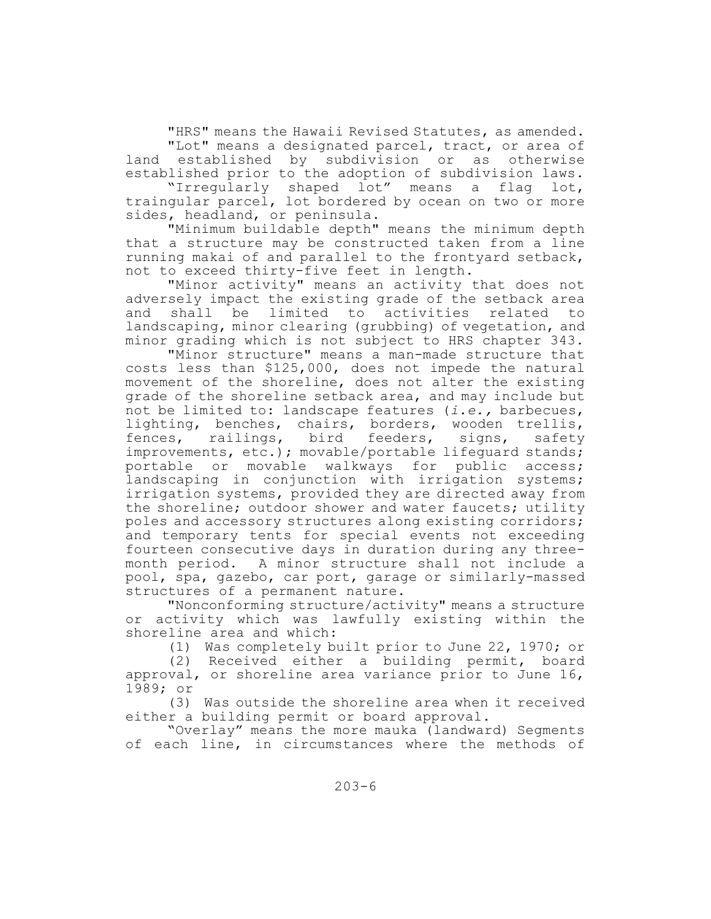"HRS" means the Hawaii Revised Statutes, as amended. "Lot" means a designated parcel, tract, or area of<br>established by subdivision or as otherwise land established by subdivision or established prior to the adoption of subdivision laws.

"Irregularly shaped lot" means a flag lot, traingular parcel, lot bordered by ocean on two or more sides, headland, or peninsula.

"Minimum buildable depth" means the minimum depth that a structure may be constructed taken from a line running makai of and parallel to the frontyard setback, not to exceed thirty-five feet in length.

"Minor activity" means an activity that does not adversely impact the existing grade of the setback area and shall be limited to activities related to landscaping, minor clearing (grubbing) of vegetation, and minor grading which is not subject to HRS chapter 343.

"Minor structure" means a man-made structure that costs less than \$125,000, does not impede the natural movement of the shoreline, does not alter the existing grade of the shoreline setback area, and may include but not be limited to: landscape features (*i.e.,* barbecues, lighting, benches, chairs, borders, wooden trellis, fences, railings, bird feeders, signs, safety improvements, etc.); movable/portable lifequard stands; portable or movable walkways for public access; landscaping in conjunction with irrigation systems; irrigation systems, provided they are directed away from the shoreline; outdoor shower and water faucets; utility poles and accessory structures along existing corridors; and temporary tents for special events not exceeding fourteen consecutive days in duration during any threemonth period. A minor structure shall not include a pool, spa, gazebo, car port, garage or similarly-massed structures of a permanent nature.

"Nonconforming structure/activity" means a structure or activity which was lawfully existing within the shoreline area and which:

(1) Was completely built prior to June 22, 1970; or

(2) Received either a building permit, board approval, or shoreline area variance prior to June 16, 1989; or

(3) Was outside the shoreline area when it received either a building permit or board approval.

"Overlay" means the more mauka (landward) Segments of each line, in circumstances where the methods of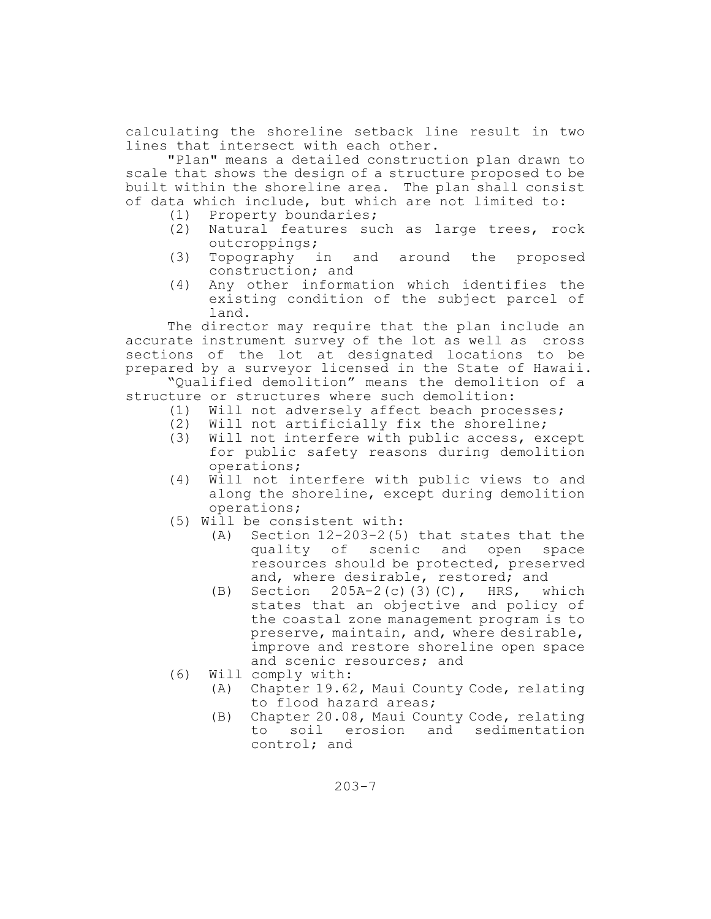calculating the shoreline setback line result in two lines that intersect with each other.

"Plan" means a detailed construction plan drawn to scale that shows the design of a structure proposed to be built within the shoreline area. The plan shall consist of data which include, but which are not limited to:

- (1) Property boundaries;
- (2) Natural features such as large trees, rock outcroppings;
- (3) Topography in and around the proposed construction; and
- (4) Any other information which identifies the existing condition of the subject parcel of land.

The director may require that the plan include an accurate instrument survey of the lot as well as cross sections of the lot at designated locations to be prepared by a surveyor licensed in the State of Hawaii.

"Qualified demolition" means the demolition of a structure or structures where such demolition:

- (1) Will not adversely affect beach processes;
- (2) Will not artificially fix the shoreline;
- (3) Will not interfere with public access, except for public safety reasons during demolition operations;
- (4) Will not interfere with public views to and along the shoreline, except during demolition operations;
- (5) Will be consistent with:
	- (A) Section 12-203-2(5) that states that the quality of scenic and open space resources should be protected, preserved and, where desirable, restored; and
	- (B) Section 205A-2(c)(3)(C), HRS, which states that an objective and policy of the coastal zone management program is to preserve, maintain, and, where desirable, improve and restore shoreline open space and scenic resources; and
- (6) Will comply with:
	- (A) Chapter 19.62, Maui County Code, relating to flood hazard areas;
	- (B) Chapter 20.08, Maui County Code, relating to soil erosion and sedimentation control; and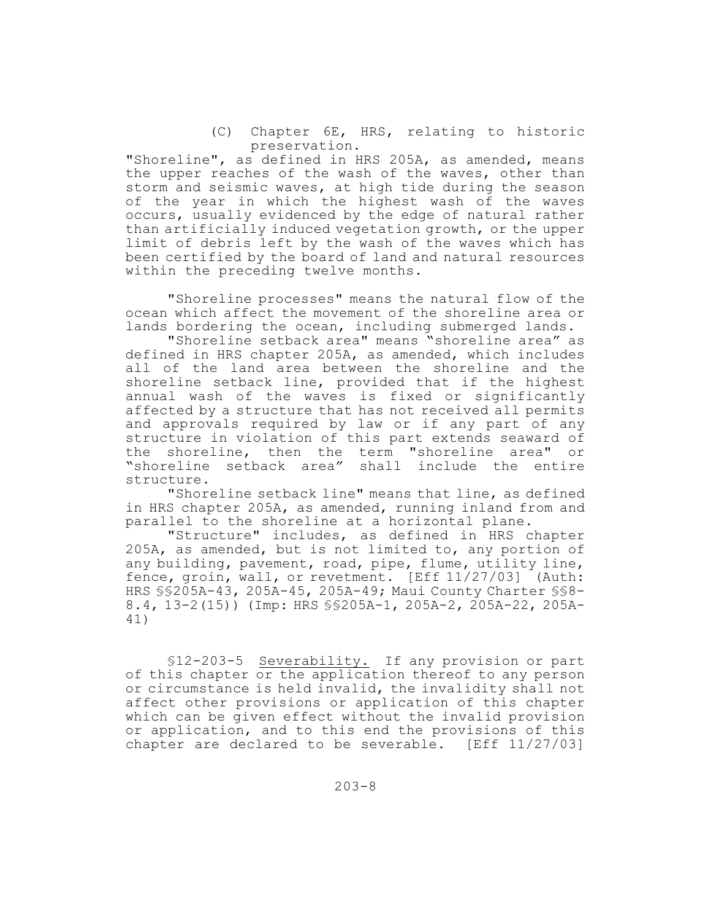(C) Chapter 6E, HRS, relating to historic preservation.

"Shoreline", as defined in HRS 205A, as amended, means the upper reaches of the wash of the waves, other than storm and seismic waves, at high tide during the season of the year in which the highest wash of the waves occurs, usually evidenced by the edge of natural rather than artificially induced vegetation growth, or the upper limit of debris left by the wash of the waves which has been certified by the board of land and natural resources within the preceding twelve months.

"Shoreline processes" means the natural flow of the ocean which affect the movement of the shoreline area or lands bordering the ocean, including submerged lands.

"Shoreline setback area" means "shoreline area" as defined in HRS chapter 205A, as amended, which includes all of the land area between the shoreline and the shoreline setback line, provided that if the highest annual wash of the waves is fixed or significantly affected by a structure that has not received all permits and approvals required by law or if any part of any structure in violation of this part extends seaward of the shoreline, then the term "shoreline area" or<br>"shoreline setback area" shall include the entire shall include the entire structure.

"Shoreline setback line" means that line, as defined in HRS chapter 205A, as amended, running inland from and parallel to the shoreline at a horizontal plane.

"Structure" includes, as defined in HRS chapter 205A, as amended, but is not limited to, any portion of any building, pavement, road, pipe, flume, utility line, fence, groin, wall, or revetment. [Eff 11/27/03] (Auth: HRS §§205A-43, 205A-45, 205A-49; Maui County Charter §§8- 8.4, 13-2(15)) (Imp: HRS §§205A-1, 205A-2, 205A-22, 205A-41)

§12-203-5 Severability. If any provision or part of this chapter or the application thereof to any person or circumstance is held invalid, the invalidity shall not affect other provisions or application of this chapter which can be given effect without the invalid provision or application, and to this end the provisions of this chapter are declared to be severable. [Eff 11/27/03]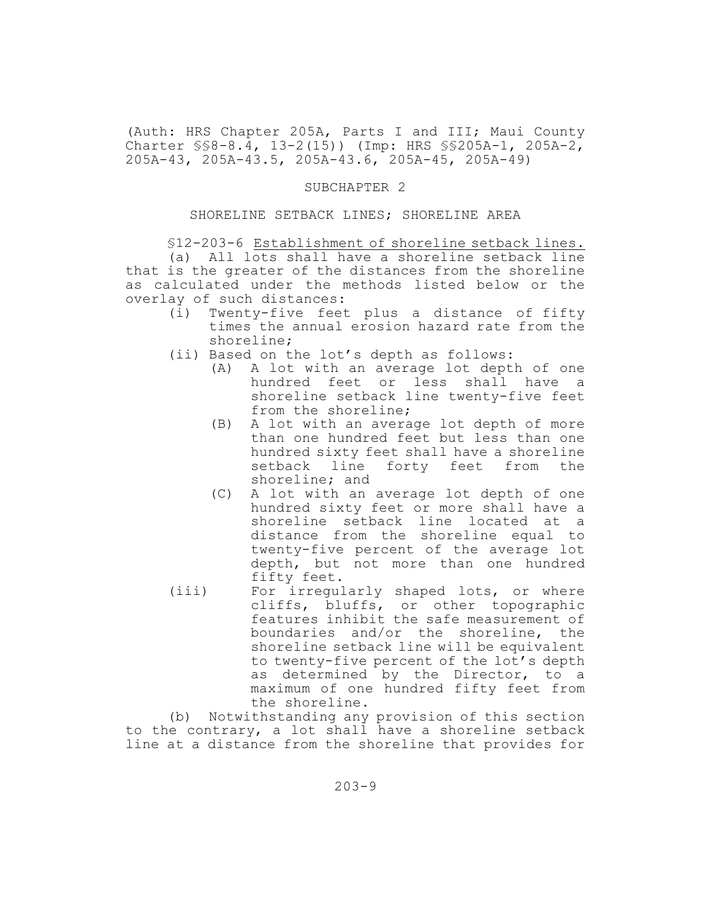(Auth: HRS Chapter 205A, Parts I and III; Maui County Charter §§8-8.4, 13-2(15)) (Imp: HRS §§205A-1, 205A-2, 205A-43, 205A-43.5, 205A-43.6, 205A-45, 205A-49)

#### SUBCHAPTER 2

#### SHORELINE SETBACK LINES; SHORELINE AREA

§12-203-6 Establishment of shoreline setback lines.

(a) All lots shall have a shoreline setback line that is the greater of the distances from the shoreline as calculated under the methods listed below or the overlay of such distances:

- (i) Twenty-five feet plus a distance of fifty times the annual erosion hazard rate from the shoreline;
- (ii) Based on the lot's depth as follows:
	- (A) A lot with an average lot depth of one hundred feet or less shall have a shoreline setback line twenty-five feet from the shoreline;
	- (B) A lot with an average lot depth of more than one hundred feet but less than one hundred sixty feet shall have a shoreline setback line forty feet from the shoreline; and
	- (C) A lot with an average lot depth of one hundred sixty feet or more shall have a shoreline setback line located at a distance from the shoreline equal to twenty-five percent of the average lot depth, but not more than one hundred fifty feet.
- (iii) For irregularly shaped lots, or where cliffs, bluffs, or other topographic features inhibit the safe measurement of boundaries and/or the shoreline, the shoreline setback line will be equivalent to twenty-five percent of the lot's depth as determined by the Director, to a maximum of one hundred fifty feet from the shoreline.

(b) Notwithstanding any provision of this section to the contrary, a lot shall have a shoreline setback line at a distance from the shoreline that provides for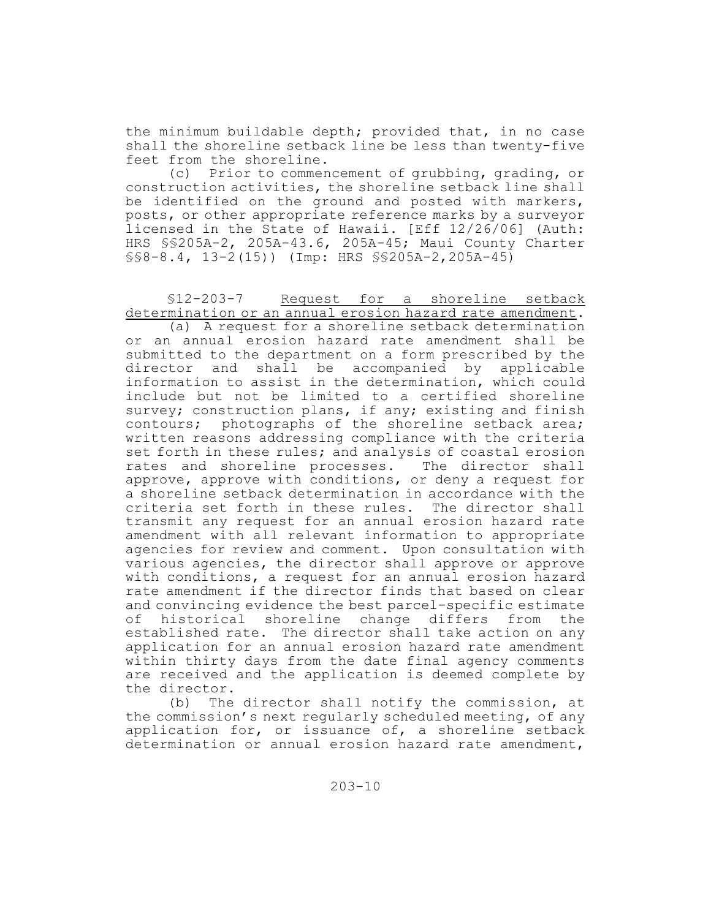the minimum buildable depth; provided that, in no case shall the shoreline setback line be less than twenty-five feet from the shoreline.

(c) Prior to commencement of grubbing, grading, or construction activities, the shoreline setback line shall be identified on the ground and posted with markers, posts, or other appropriate reference marks by a surveyor licensed in the State of Hawaii. [Eff 12/26/06] (Auth: HRS §§205A-2, 205A-43.6, 205A-45; Maui County Charter §§8-8.4, 13-2(15)) (Imp: HRS §§205A-2,205A-45)

§12-203-7 Request for a shoreline setback determination or an annual erosion hazard rate amendment.

(a) A request for a shoreline setback determination or an annual erosion hazard rate amendment shall be submitted to the department on a form prescribed by the director and shall be accompanied by applicable information to assist in the determination, which could include but not be limited to a certified shoreline survey; construction plans, if any; existing and finish contours; photographs of the shoreline setback area; written reasons addressing compliance with the criteria set forth in these rules; and analysis of coastal erosion rates and shoreline processes. The director shall approve, approve with conditions, or deny a request for a shoreline setback determination in accordance with the criteria set forth in these rules. The director shall transmit any request for an annual erosion hazard rate amendment with all relevant information to appropriate agencies for review and comment. Upon consultation with various agencies, the director shall approve or approve with conditions, a request for an annual erosion hazard rate amendment if the director finds that based on clear and convincing evidence the best parcel-specific estimate of historical shoreline change differs from the established rate. The director shall take action on any application for an annual erosion hazard rate amendment within thirty days from the date final agency comments are received and the application is deemed complete by the director.

(b) The director shall notify the commission, at the commission's next regularly scheduled meeting, of any application for, or issuance of, a shoreline setback determination or annual erosion hazard rate amendment,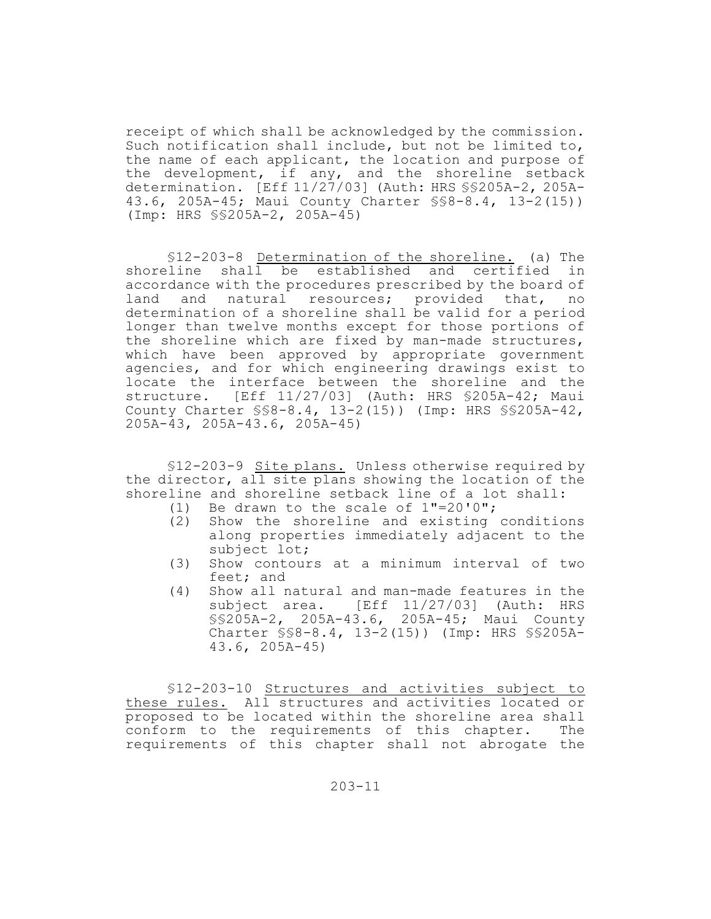receipt of which shall be acknowledged by the commission. Such notification shall include, but not be limited to, the name of each applicant, the location and purpose of the development, if any, and the shoreline setback determination. [Eff 11/27/03] (Auth: HRS §§205A-2, 205A-43.6, 205A-45; Maui County Charter §§8-8.4, 13-2(15)) (Imp: HRS §§205A-2, 205A-45)

§12-203-8 Determination of the shoreline. (a) The shoreline shall be established and certified in accordance with the procedures prescribed by the board of land and natural resources; provided that, no determination of a shoreline shall be valid for a period longer than twelve months except for those portions of the shoreline which are fixed by man-made structures, which have been approved by appropriate government agencies, and for which engineering drawings exist to locate the interface between the shoreline and the structure. [Eff 11/27/03] (Auth: HRS §205A-42; Maui County Charter §§8-8.4, 13-2(15)) (Imp: HRS §§205A-42, 205A-43, 205A-43.6, 205A-45)

§12-203-9 Site plans. Unless otherwise required by the director, all site plans showing the location of the shoreline and shoreline setback line of a lot shall:

- (1) Be drawn to the scale of 1"=20'0";
- (2) Show the shoreline and existing conditions along properties immediately adjacent to the subject lot;
- (3) Show contours at a minimum interval of two feet; and
- (4) Show all natural and man-made features in the subject area. [Eff 11/27/03] (Auth: HRS §§205A-2, 205A-43.6, 205A-45; Maui County Charter §§8-8.4, 13-2(15)) (Imp: HRS §§205A-43.6, 205A-45)

§12-203-10 Structures and activities subject to these rules. All structures and activities located or proposed to be located within the shoreline area shall conform to the requirements of this chapter. The requirements of this chapter shall not abrogate the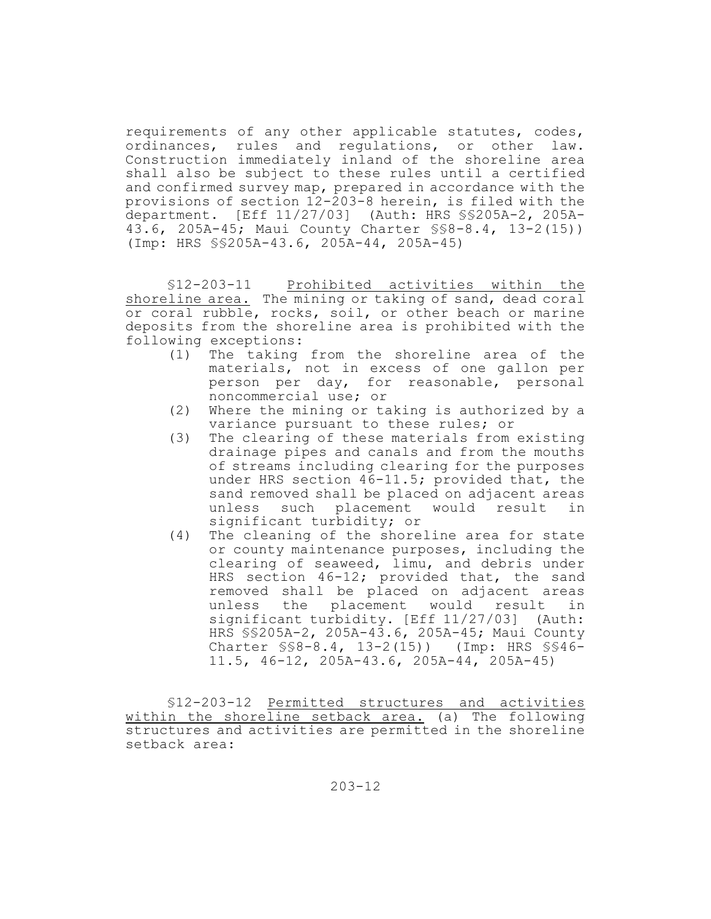requirements of any other applicable statutes, codes, ordinances, rules and regulations, or other law. Construction immediately inland of the shoreline area shall also be subject to these rules until a certified and confirmed survey map, prepared in accordance with the provisions of section 12-203-8 herein, is filed with the department. [Eff 11/27/03] (Auth: HRS §§205A-2, 205A-43.6, 205A-45; Maui County Charter §§8-8.4, 13-2(15)) (Imp: HRS §§205A-43.6, 205A-44, 205A-45)

§12-203-11 Prohibited activities within the shoreline area. The mining or taking of sand, dead coral or coral rubble, rocks, soil, or other beach or marine deposits from the shoreline area is prohibited with the following exceptions:

- (1) The taking from the shoreline area of the materials, not in excess of one gallon per person per day, for reasonable, personal noncommercial use; or
- (2) Where the mining or taking is authorized by a variance pursuant to these rules; or
- (3) The clearing of these materials from existing drainage pipes and canals and from the mouths of streams including clearing for the purposes under HRS section 46-11.5; provided that, the sand removed shall be placed on adjacent areas unless such placement would result in significant turbidity; or
- (4) The cleaning of the shoreline area for state or county maintenance purposes, including the clearing of seaweed, limu, and debris under HRS section 46-12; provided that, the sand removed shall be placed on adjacent areas unless the placement would result in significant turbidity. [Eff 11/27/03] (Auth: HRS §§205A-2, 205A-43.6, 205A-45; Maui County Charter §§8-8.4, 13-2(15)) (Imp: HRS §§46- 11.5, 46-12, 205A-43.6, 205A-44, 205A-45)

§12-203-12 Permitted structures and activities within the shoreline setback area. (a) The following structures and activities are permitted in the shoreline setback area: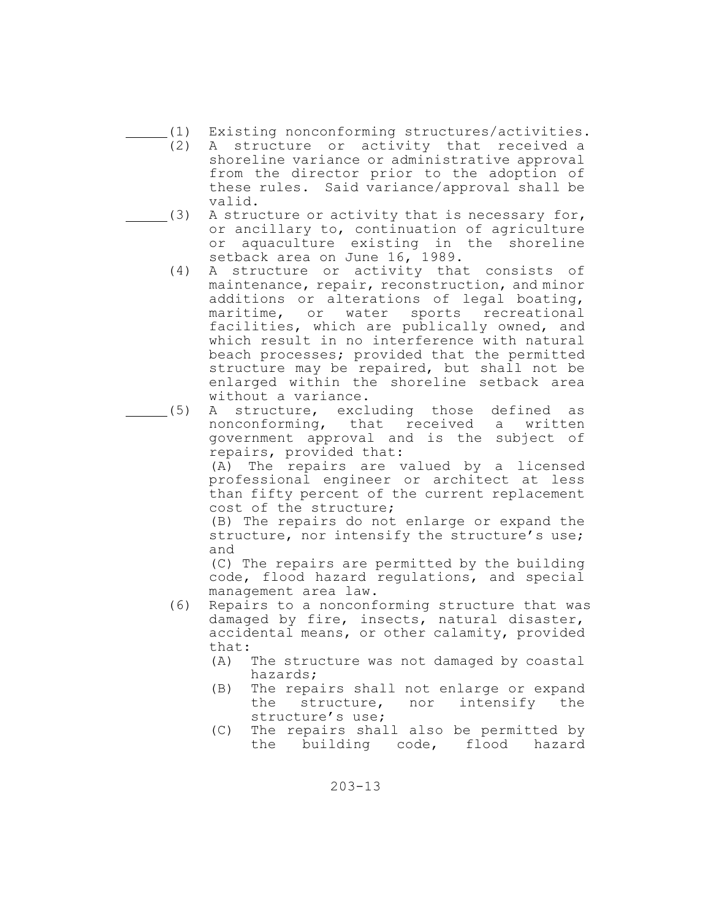- (1) Existing nonconforming structures/activities.
	- (2) A structure or activity that received a shoreline variance or administrative approval from the director prior to the adoption of these rules. Said variance/approval shall be valid.
	- $(3)$  A structure or activity that is necessary for, or ancillary to, continuation of agriculture or aquaculture existing in the shoreline setback area on June 16, 1989.
		- (4) A structure or activity that consists of maintenance, repair, reconstruction, and minor additions or alterations of legal boating, maritime, or water sports recreational facilities, which are publically owned, and which result in no interference with natural beach processes; provided that the permitted structure may be repaired, but shall not be enlarged within the shoreline setback area without a variance.
- (5) A structure, excluding those defined as nonconforming, that received a written government approval and is the subject of repairs, provided that:

(A) The repairs are valued by a licensed professional engineer or architect at less than fifty percent of the current replacement cost of the structure;

(B) The repairs do not enlarge or expand the structure, nor intensify the structure's use; and

(C) The repairs are permitted by the building code, flood hazard regulations, and special management area law.

- (6) Repairs to a nonconforming structure that was damaged by fire, insects, natural disaster, accidental means, or other calamity, provided that:
	- (A) The structure was not damaged by coastal hazards;
	- (B) The repairs shall not enlarge or expand the structure, nor intensify the structure's use;
	- (C) The repairs shall also be permitted by the building code, flood hazard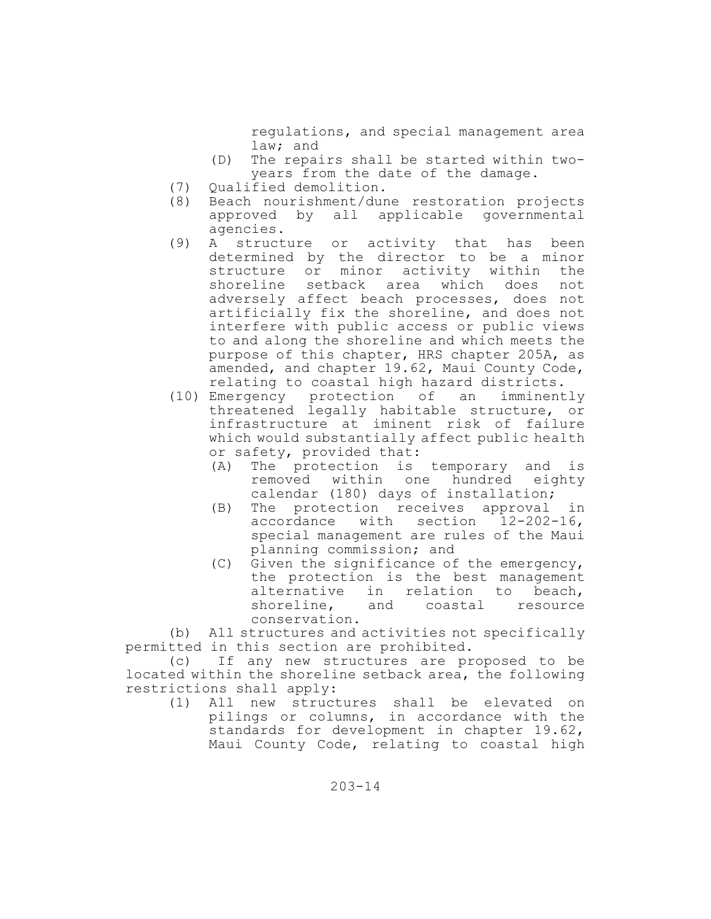regulations, and special management area law; and

- (D) The repairs shall be started within twoyears from the date of the damage.
- (7) Qualified demolition**.**
- (8) Beach nourishment/dune restoration projects approved by all applicable governmental agencies**.**
- (9) A structure or activity that has been determined by the director to be a minor structure or minor activity within the shoreline setback area which does not adversely affect beach processes, does not artificially fix the shoreline, and does not interfere with public access or public views to and along the shoreline and which meets the purpose of this chapter, HRS chapter 205A, as amended, and chapter 19.62, Maui County Code, relating to coastal high hazard districts.
- (10) Emergency protection of an imminently threatened legally habitable structure, or infrastructure at iminent risk of failure which would substantially affect public health or safety, provided that:
	- (A) The protection is temporary and is removed within one hundred eighty calendar (180) days of installation;
	- (B) The protection receives approval in accordance with section 12-202-16, special management are rules of the Maui planning commission; and
	- (C) Given the significance of the emergency, the protection is the best management alternative in relation to beach, shoreline, and coastal resource conservation.

(b) All structures and activities not specifically permitted in this section are prohibited.

(c) If any new structures are proposed to be located within the shoreline setback area, the following restrictions shall apply:

(1) All new structures shall be elevated on pilings or columns, in accordance with the standards for development in chapter 19.62, Maui County Code, relating to coastal high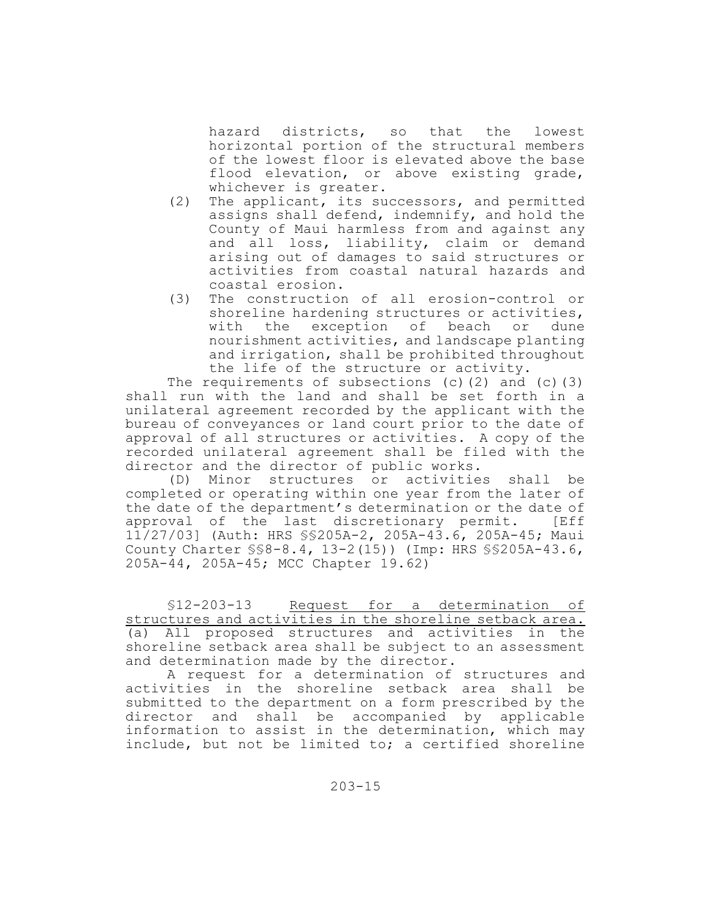hazard districts, so that the lowest horizontal portion of the structural members of the lowest floor is elevated above the base flood elevation, or above existing grade, whichever is greater.

- (2) The applicant, its successors, and permitted assigns shall defend, indemnify, and hold the County of Maui harmless from and against any and all loss, liability, claim or demand arising out of damages to said structures or activities from coastal natural hazards and coastal erosion.
- (3) The construction of all erosion-control or shoreline hardening structures or activities, with the exception of beach or dune nourishment activities, and landscape planting and irrigation, shall be prohibited throughout the life of the structure or activity.

The requirements of subsections (c)(2) and (c)(3) shall run with the land and shall be set forth in a unilateral agreement recorded by the applicant with the bureau of conveyances or land court prior to the date of approval of all structures or activities. A copy of the recorded unilateral agreement shall be filed with the director and the director of public works.

(D) Minor structures or activities shall be completed or operating within one year from the later of the date of the department's determination or the date of approval of the last discretionary permit. [Eff 11/27/03] (Auth: HRS §§205A-2, 205A-43.6, 205A-45; Maui County Charter §§8-8.4, 13-2(15)) (Imp: HRS §§205A-43.6, 205A-44, 205A-45; MCC Chapter 19.62)

§12-203-13 Request for a determination of structures and activities in the shoreline setback area. (a) All proposed structures and activities in the shoreline setback area shall be subject to an assessment and determination made by the director.

A request for a determination of structures and activities in the shoreline setback area shall be submitted to the department on a form prescribed by the director and shall be accompanied by applicable information to assist in the determination, which may include, but not be limited to; a certified shoreline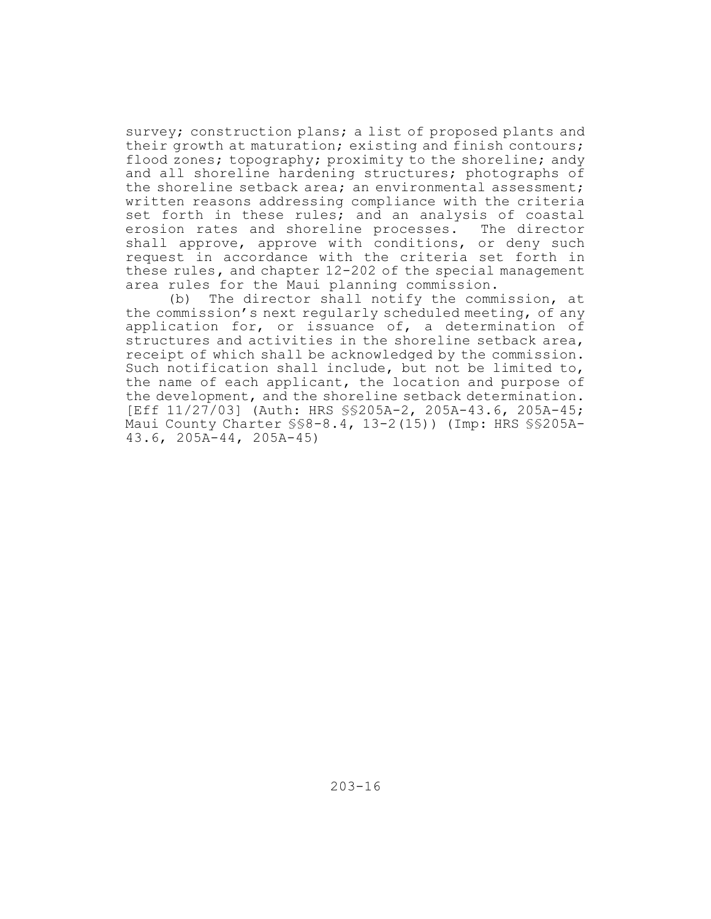survey; construction plans; a list of proposed plants and their growth at maturation; existing and finish contours; flood zones; topography; proximity to the shoreline; andy and all shoreline hardening structures; photographs of the shoreline setback area; an environmental assessment; written reasons addressing compliance with the criteria set forth in these rules; and an analysis of coastal erosion rates and shoreline processes. The director shall approve, approve with conditions, or deny such request in accordance with the criteria set forth in these rules**,** and chapter 12-202 of the special management area rules for the Maui planning commission.

(b) The director shall notify the commission, at the commission's next regularly scheduled meeting, of any application for, or issuance of, a determination of structures and activities in the shoreline setback area, receipt of which shall be acknowledged by the commission. Such notification shall include, but not be limited to, the name of each applicant, the location and purpose of the development, and the shoreline setback determination. [Eff 11/27/03] (Auth: HRS §§205A-2, 205A-43.6, 205A-45; Maui County Charter §§8-8.4, 13-2(15)) (Imp: HRS §§205A-43.6, 205A-44, 205A-45)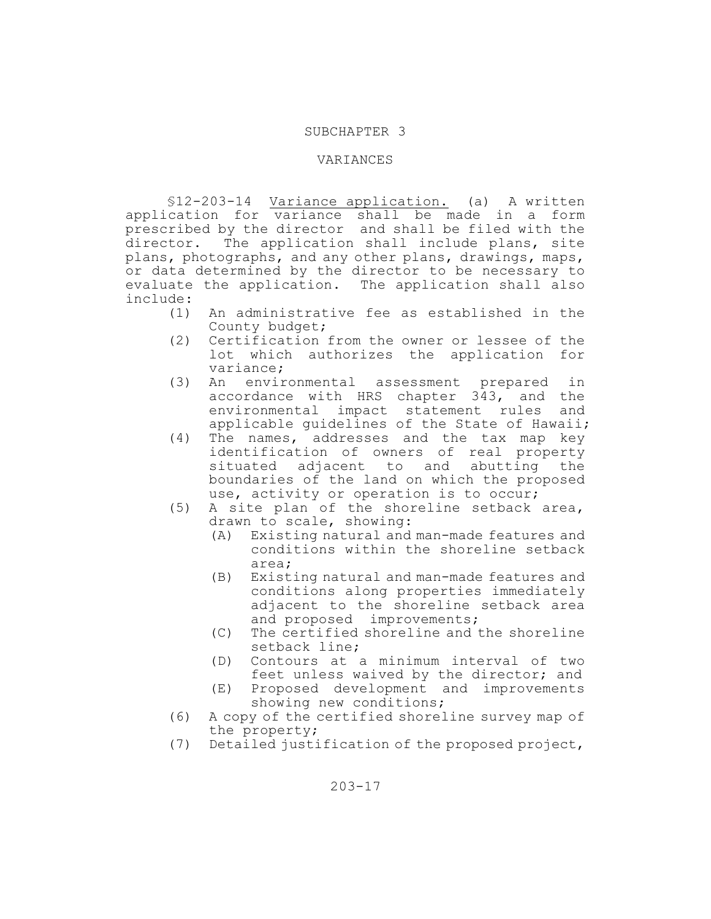#### SUBCHAPTER 3

### VARIANCES

§12-203-14 Variance application. (a) A written application for variance shall be made in a form prescribed by the director and shall be filed with the director. The application shall include plans, site plans, photographs, and any other plans, drawings, maps, or data determined by the director to be necessary to evaluate the application. The application shall also include:

- (1) An administrative fee as established in the County budget;
- (2) Certification from the owner or lessee of the lot which authorizes the application for variance;
- (3) An environmental assessment prepared in accordance with HRS chapter 343, and the environmental impact statement rules and applicable guidelines of the State of Hawaii;
- (4) The names, addresses and the tax map key identification of owners of real property situated adjacent to and abutting the boundaries of the land on which the proposed use, activity or operation is to occur;
- (5) A site plan of the shoreline setback area, drawn to scale, showing:
	- (A) Existing natural and man-made features and conditions within the shoreline setback area;
	- (B) Existing natural and man-made features and conditions along properties immediately adjacent to the shoreline setback area and proposed improvements;
	- (C) The certified shoreline and the shoreline setback line;
	- (D) Contours at a minimum interval of two feet unless waived by the director; and
	- (E) Proposed development and improvements showing new conditions;
- (6) A copy of the certified shoreline survey map of the property;
- (7) Detailed justification of the proposed project,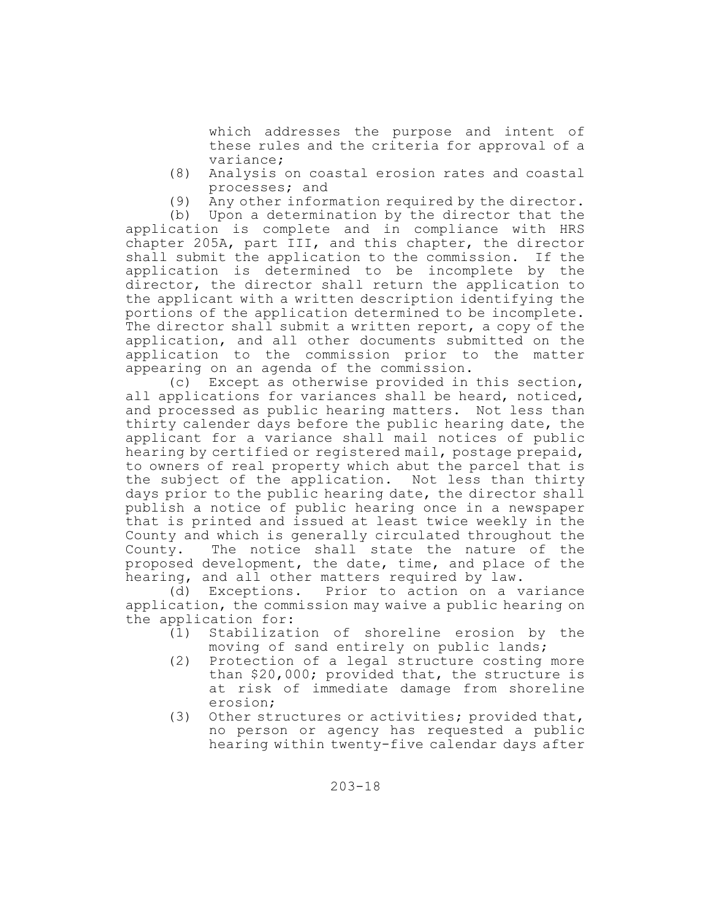which addresses the purpose and intent of these rules and the criteria for approval of a variance;

- (8) Analysis on coastal erosion rates and coastal processes; and
- (9) Any other information required by the director.

(b) Upon a determination by the director that the application is complete and in compliance with HRS chapter 205A, part III, and this chapter, the director shall submit the application to the commission. If the application is determined to be incomplete by the director, the director shall return the application to the applicant with a written description identifying the portions of the application determined to be incomplete. The director shall submit a written report, a copy of the application, and all other documents submitted on the application to the commission prior to the matter appearing on an agenda of the commission.

(c) Except as otherwise provided in this section, all applications for variances shall be heard, noticed, and processed as public hearing matters. Not less than thirty calender days before the public hearing date, the applicant for a variance shall mail notices of public hearing by certified or registered mail, postage prepaid, to owners of real property which abut the parcel that is the subject of the application. Not less than thirty days prior to the public hearing date, the director shall publish a notice of public hearing once in a newspaper that is printed and issued at least twice weekly in the County and which is generally circulated throughout the County. The notice shall state the nature of the proposed development, the date, time, and place of the hearing, and all other matters required by law.

(d) Exceptions. Prior to action on a variance application, the commission may waive a public hearing on the application for:

- (1) Stabilization of shoreline erosion by the moving of sand entirely on public lands;
- (2) Protection of a legal structure costing more than \$20,000; provided that, the structure is at risk of immediate damage from shoreline erosion;
- (3) Other structures or activities; provided that, no person or agency has requested a public hearing within twenty-five calendar days after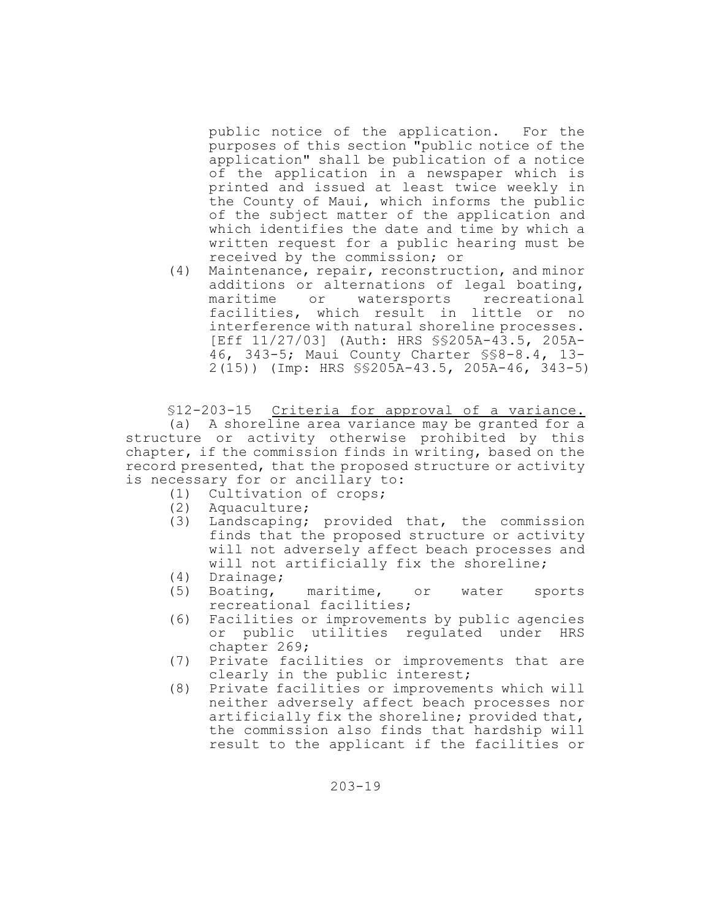public notice of the application. For the purposes of this section "public notice of the application" shall be publication of a notice of the application in a newspaper which is printed and issued at least twice weekly in the County of Maui, which informs the public of the subject matter of the application and which identifies the date and time by which a written request for a public hearing must be received by the commission; or

(4) Maintenance, repair, reconstruction, and minor additions or alternations of legal boating, maritime or watersports recreational facilities, which result in little or no interference with natural shoreline processes. [Eff 11/27/03] (Auth: HRS §§205A-43.5, 205A-46, 343-5; Maui County Charter §§8-8.4, 13- 2(15)) (Imp: HRS §§205A-43.5, 205A-46, 343-5)

§12-203-15 Criteria for approval of a variance. (a) A shoreline area variance may be granted for a structure or activity otherwise prohibited by this chapter, if the commission finds in writing, based on the record presented, that the proposed structure or activity is necessary for or ancillary to:

- (1) Cultivation of crops;
- (2) Aquaculture;
- (3) Landscaping; provided that, the commission finds that the proposed structure or activity will not adversely affect beach processes and will not artificially fix the shoreline;
- (4) Drainage;
- (5) Boating, maritime, or water sports recreational facilities;
- (6) Facilities or improvements by public agencies or public utilities regulated under HRS chapter 269;
- (7) Private facilities or improvements that are clearly in the public interest;
- (8) Private facilities or improvements which will neither adversely affect beach processes nor artificially fix the shoreline; provided that, the commission also finds that hardship will result to the applicant if the facilities or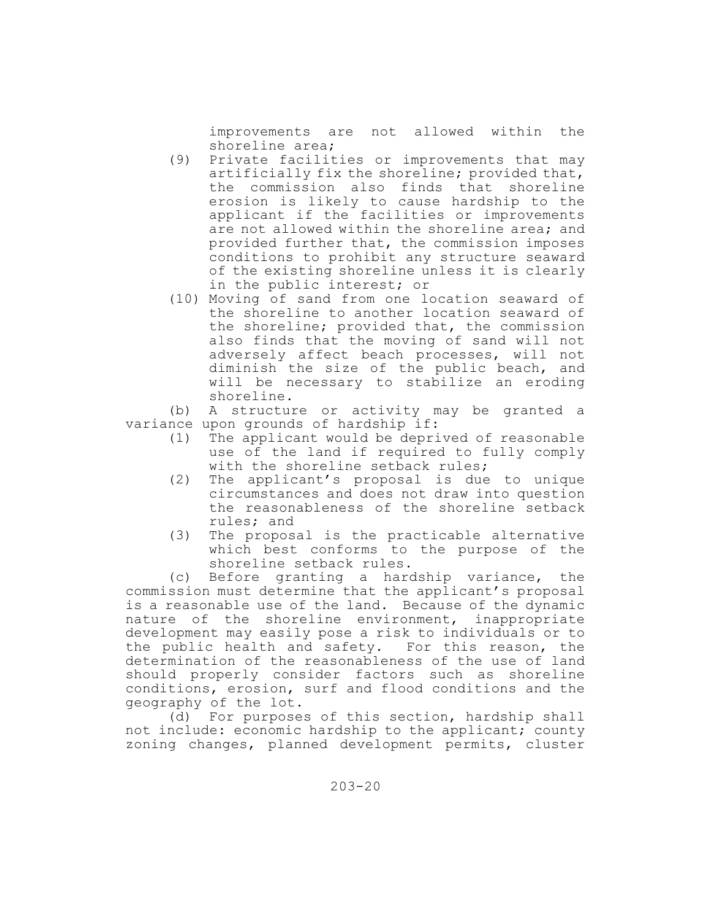improvements are not allowed within the shoreline area;

- (9) Private facilities or improvements that may artificially fix the shoreline; provided that, the commission also finds that shoreline erosion is likely to cause hardship to the applicant if the facilities or improvements are not allowed within the shoreline area; and provided further that, the commission imposes conditions to prohibit any structure seaward of the existing shoreline unless it is clearly in the public interest; or
- (10) Moving of sand from one location seaward of the shoreline to another location seaward of the shoreline; provided that, the commission also finds that the moving of sand will not adversely affect beach processes, will not diminish the size of the public beach, and will be necessary to stabilize an eroding shoreline.

(b) A structure or activity may be granted a variance upon grounds of hardship if:

- (1) The applicant would be deprived of reasonable use of the land if required to fully comply with the shoreline setback rules;
- (2) The applicant's proposal is due to unique circumstances and does not draw into question the reasonableness of the shoreline setback rules; and
- (3) The proposal is the practicable alternative which best conforms to the purpose of the shoreline setback rules.

(c) Before granting a hardship variance, the commission must determine that the applicant's proposal is a reasonable use of the land. Because of the dynamic nature of the shoreline environment, inappropriate development may easily pose a risk to individuals or to the public health and safety. For this reason, the determination of the reasonableness of the use of land should properly consider factors such as shoreline conditions, erosion, surf and flood conditions and the geography of the lot.

(d) For purposes of this section, hardship shall not include: economic hardship to the applicant; county zoning changes, planned development permits, cluster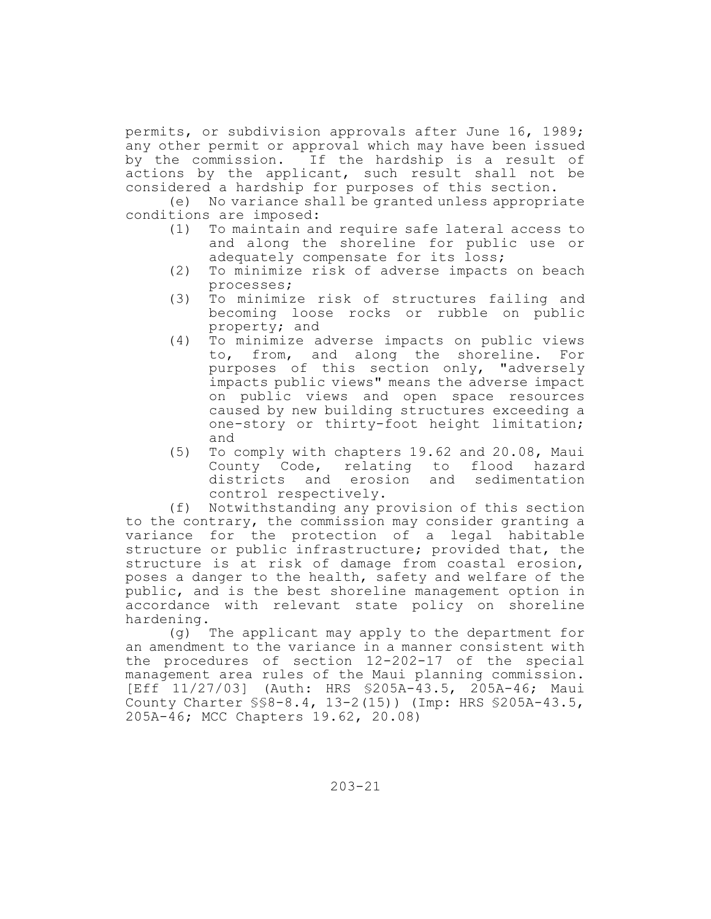permits, or subdivision approvals after June 16, 1989; any other permit or approval which may have been issued by the commission. If the hardship is a result of actions by the applicant, such result shall not be considered a hardship for purposes of this section.

(e) No variance shall be granted unless appropriate conditions are imposed:

- (1) To maintain and require safe lateral access to and along the shoreline for public use or adequately compensate for its loss;
- (2) To minimize risk of adverse impacts on beach processes;
- (3) To minimize risk of structures failing and becoming loose rocks or rubble on public property; and
- (4) To minimize adverse impacts on public views to, from, and along the shoreline. For purposes of this section only, "adversely impacts public views" means the adverse impact on public views and open space resources caused by new building structures exceeding a one-story or thirty-foot height limitation; and
- (5) To comply with chapters 19.62 and 20.08, Maui County Code, relating to flood hazard districts and erosion and sedimentation control respectively.

(f) Notwithstanding any provision of this section to the contrary, the commission may consider granting a variance for the protection of a legal habitable structure or public infrastructure; provided that, the structure is at risk of damage from coastal erosion, poses a danger to the health, safety and welfare of the public, and is the best shoreline management option in accordance with relevant state policy on shoreline hardening.

(g) The applicant may apply to the department for an amendment to the variance in a manner consistent with the procedures of section 12-202-17 of the special management area rules of the Maui planning commission. [Eff 11/27/03] (Auth: HRS §205A-43.5, 205A-46; Maui County Charter §§8-8.4, 13-2(15)) (Imp: HRS §205A-43.5, 205A-46; MCC Chapters 19.62, 20.08)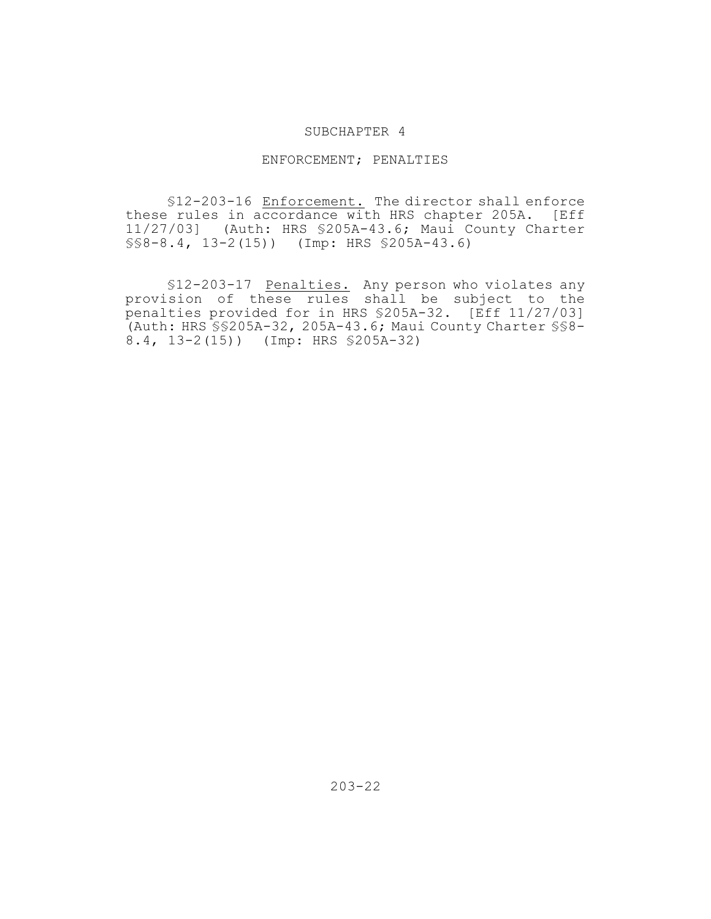#### SUBCHAPTER 4

## ENFORCEMENT; PENALTIES

§12-203-16 Enforcement. The director shall enforce these rules in accordance with HRS chapter 205A. [Eff 11/27/03] (Auth: HRS §205A-43.6; Maui County Charter §§8-8.4, 13-2(15)) (Imp: HRS §205A-43.6)

§12-203-17 Penalties. Any person who violates any provision of these rules shall be subject to the penalties provided for in HRS §205A-32. [Eff 11/27/03] (Auth: HRS §§205A-32, 205A-43.6; Maui County Charter §§8- 8.4, 13-2(15)) (Imp: HRS §205A-32)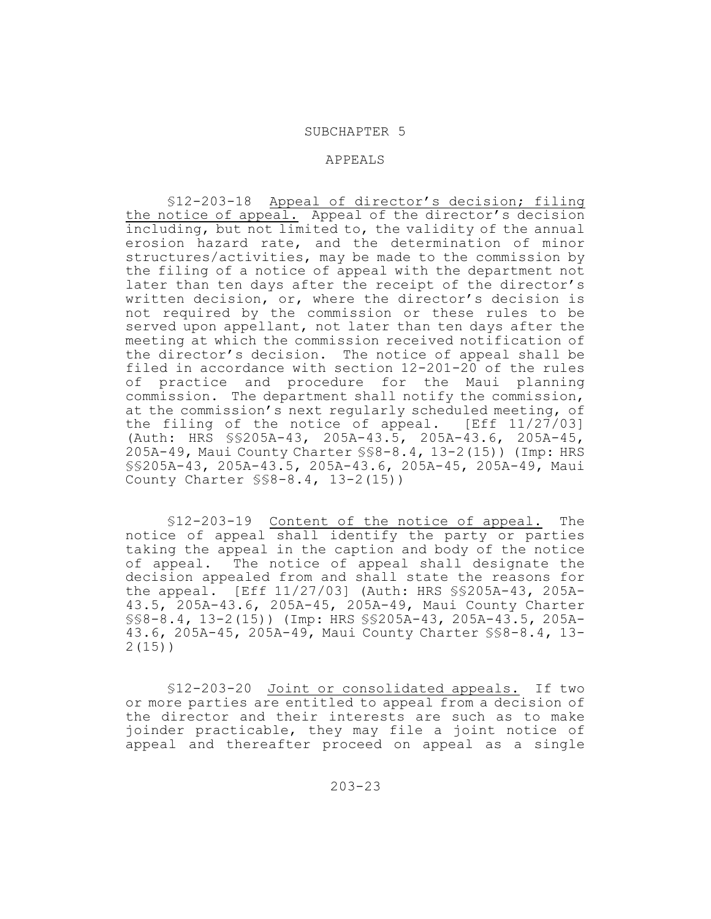#### SUBCHAPTER 5

#### APPEALS

§12-203-18 Appeal of director's decision; filing the notice of appeal. Appeal of the director's decision including, but not limited to, the validity of the annual erosion hazard rate, and the determination of minor structures/activities, may be made to the commission by the filing of a notice of appeal with the department not later than ten days after the receipt of the director's written decision, or, where the director's decision is not required by the commission or these rules to be served upon appellant, not later than ten days after the meeting at which the commission received notification of the director's decision. The notice of appeal shall be filed in accordance with section 12-201-20 of the rules of practice and procedure for the Maui planning commission. The department shall notify the commission, at the commission's next regularly scheduled meeting, of the filing of the notice of appeal. [Eff 11/27/03] (Auth: HRS §§205A-43, 205A-43.5, 205A-43.6, 205A-45, 205A-49, Maui County Charter §§8-8.4, 13-2(15)) (Imp: HRS §§205A-43, 205A-43.5, 205A-43.6, 205A-45, 205A-49, Maui County Charter §§8-8.4, 13-2(15))

§12-203-19 Content of the notice of appeal. The notice of appeal shall identify the party or parties taking the appeal in the caption and body of the notice of appeal. The notice of appeal shall designate the decision appealed from and shall state the reasons for the appeal. [Eff 11/27/03] (Auth: HRS §§205A-43, 205A-43.5, 205A-43.6, 205A-45, 205A-49, Maui County Charter §§8-8.4, 13-2(15)) (Imp: HRS §§205A-43, 205A-43.5, 205A-43.6, 205A-45, 205A-49, Maui County Charter §§8-8.4, 13- 2(15))

§12-203-20 Joint or consolidated appeals. If two or more parties are entitled to appeal from a decision of the director and their interests are such as to make joinder practicable, they may file a joint notice of appeal and thereafter proceed on appeal as a single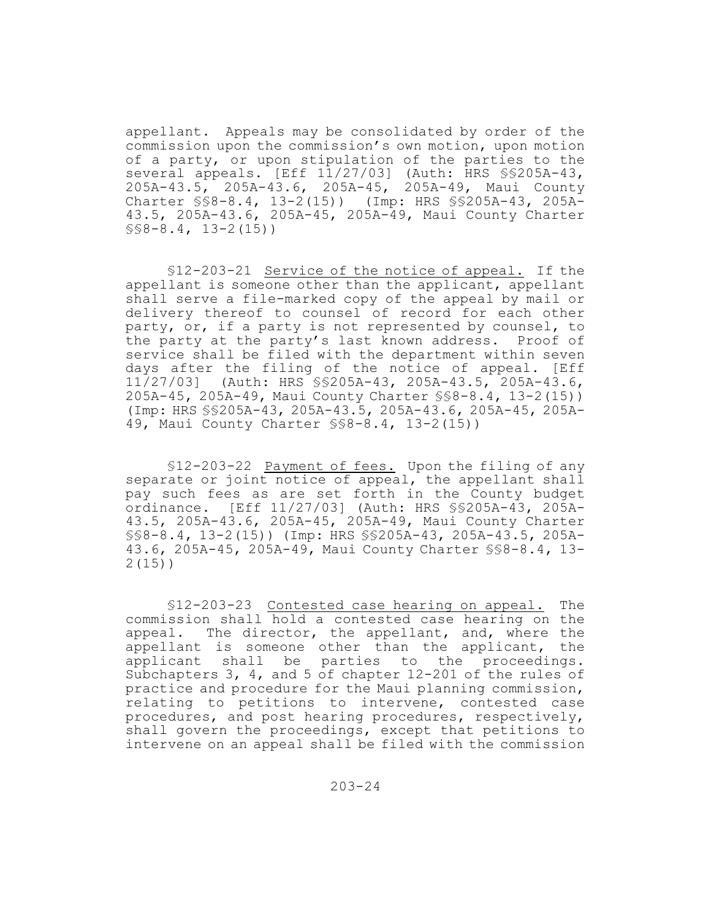appellant. Appeals may be consolidated by order of the commission upon the commission's own motion, upon motion of a party, or upon stipulation of the parties to the several appeals. [Eff 11/27/03] (Auth: HRS §§205A-43, 205A-43.5, 205A-43.6, 205A-45, 205A-49, Maui County Charter §§8-8.4, 13-2(15)) (Imp: HRS §§205A-43, 205A-43.5, 205A-43.6, 205A-45, 205A-49, Maui County Charter  $$\$$  $\$$  $-8.4$ ,  $13-2(15)$ )

§12-203-21 Service of the notice of appeal. If the appellant is someone other than the applicant, appellant shall serve a file-marked copy of the appeal by mail or delivery thereof to counsel of record for each other party, or, if a party is not represented by counsel, to the party at the party's last known address. Proof of service shall be filed with the department within seven days after the filing of the notice of appeal. [Eff 11/27/03] (Auth: HRS §§205A-43, 205A-43.5, 205A-43.6, 205A-45, 205A-49, Maui County Charter §§8-8.4, 13-2(15)) (Imp: HRS §§205A-43, 205A-43.5, 205A-43.6, 205A-45, 205A-49, Maui County Charter §§8-8.4, 13-2(15))

§12-203-22 Payment of fees. Upon the filing of any separate or joint notice of appeal, the appellant shall pay such fees as are set forth in the County budget ordinance. [Eff 11/27/03] (Auth: HRS §§205A-43, 205A-43.5, 205A-43.6, 205A-45, 205A-49, Maui County Charter §§8-8.4, 13-2(15)) (Imp: HRS §§205A-43, 205A-43.5, 205A-43.6, 205A-45, 205A-49, Maui County Charter §§8-8.4, 13- 2(15))

§12-203-23 Contested case hearing on appeal. The commission shall hold a contested case hearing on the appeal. The director, the appellant, and, where the appellant is someone other than the applicant, the applicant shall be parties to the proceedings. Subchapters 3, 4, and 5 of chapter 12-201 of the rules of practice and procedure for the Maui planning commission, relating to petitions to intervene, contested case procedures, and post hearing procedures, respectively, shall govern the proceedings, except that petitions to intervene on an appeal shall be filed with the commission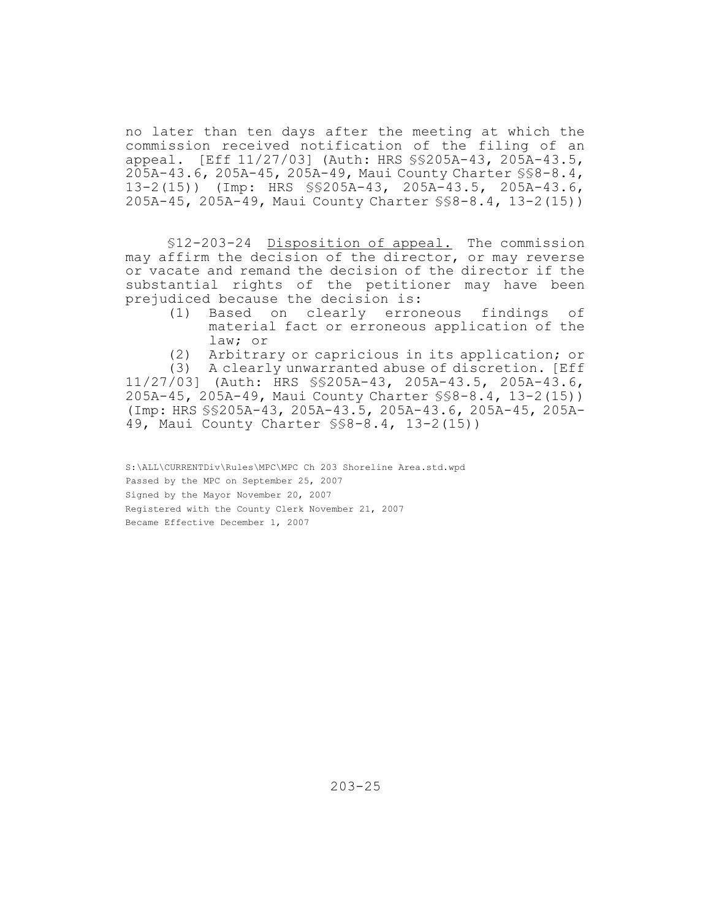no later than ten days after the meeting at which the commission received notification of the filing of an appeal. [Eff 11/27/03] (Auth: HRS §§205A-43, 205A-43.5, 205A-43.6, 205A-45, 205A-49, Maui County Charter §§8-8.4, 13-2(15)) (Imp: HRS §§205A-43, 205A-43.5, 205A-43.6, 205A-45, 205A-49, Maui County Charter §§8-8.4, 13-2(15))

§12-203-24 Disposition of appeal.The commission may affirm the decision of the director, or may reverse or vacate and remand the decision of the director if the substantial rights of the petitioner may have been prejudiced because the decision is:

(1) Based on clearly erroneous findings of material fact or erroneous application of the law; or

(2) Arbitrary or capricious in its application; or

(3) A clearly unwarranted abuse of discretion. [Eff 11/27/03] (Auth: HRS §§205A-43, 205A-43.5, 205A-43.6, 205A-45, 205A-49, Maui County Charter §§8-8.4, 13-2(15)) (Imp: HRS §§205A-43, 205A-43.5, 205A-43.6, 205A-45, 205A-49, Maui County Charter §§8-8.4, 13-2(15))

S:\ALL\CURRENTDiv\Rules\MPC\MPC Ch 203 Shoreline Area.std.wpd Passed by the MPC on September 25, 2007 Signed by the Mayor November 20, 2007 Registered with the County Clerk November 21, 2007 Became Effective December 1, 2007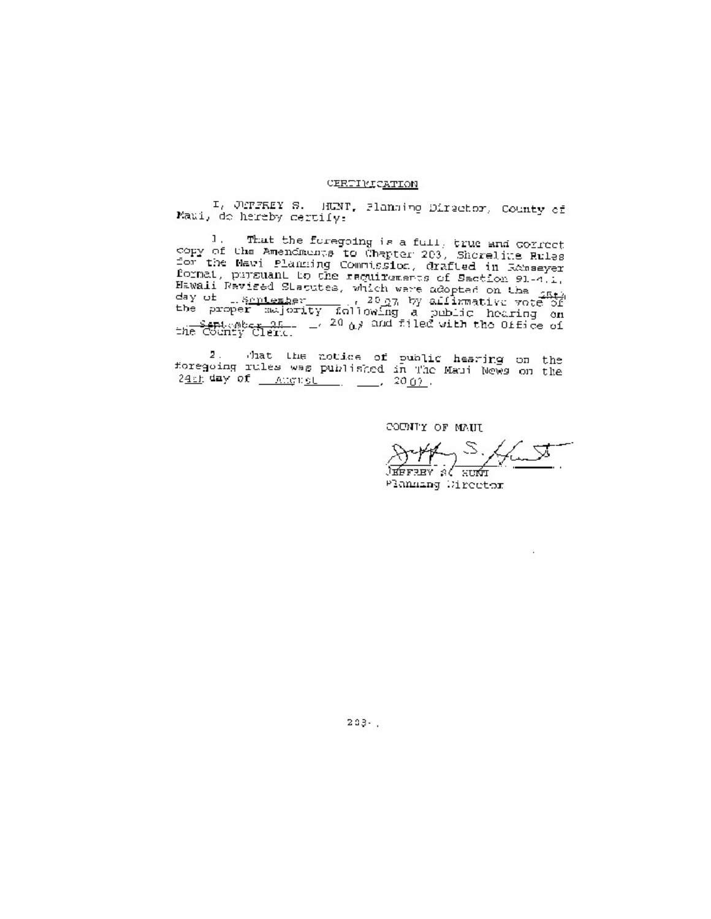#### CERTIVICATION

I, JEFFEEY S. HUNT, Planning Director, County of Maui, do hereby certify:

That the foregoing is a full, true and correct<br>16 Americanse to Charton 202, Thursday Office Л. copy of the Americans for Chapter 203, Shoreline Rules<br>for the Mayi Planningh Commission, drafted in Ranseyer<br>format, pursuant to the easilypeers of E For the May: Planning Commission, drafted in Research<br>format, pursuant to the requirements of Section 91-4.1,<br>Hawaii Revised Statutes, which were adopted on the <sub>SECE</sub><br>day of 1.8mitember 11, 2007 by allianative vote of<br>th

 $24 \text{ ft}$  day of  $\frac{70 \text{ ft}}{400 \text{ ft}}$ ,  $\frac{100 \text{ ft}}{400 \text{ ft}}$ ,  $\frac{200 \text{ ft}}{400 \text{ ft}}$ 

COUNTY OF MAUI

 $\cdot$ 

Planning Wirector

 $2.9.3 - 1.$